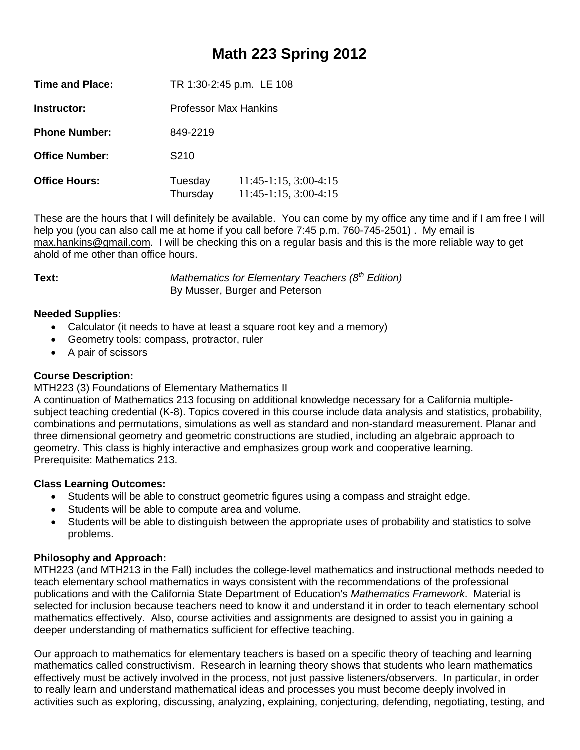## **Math 223 Spring 2012**

| <b>Time and Place:</b> | TR 1:30-2:45 p.m. LE 108 |                                                          |  |
|------------------------|--------------------------|----------------------------------------------------------|--|
| Instructor:            | Professor Max Hankins    |                                                          |  |
| <b>Phone Number:</b>   | 849-2219                 |                                                          |  |
| <b>Office Number:</b>  | S <sub>210</sub>         |                                                          |  |
| <b>Office Hours:</b>   | Tuesday<br>Thursday      | $11:45-1:15$ , $3:00-4:15$<br>$11:45-1:15$ , $3:00-4:15$ |  |

These are the hours that I will definitely be available. You can come by my office any time and if I am free I will help you (you can also call me at home if you call before 7:45 p.m. 760-745-2501). My email is [max.hankins@gmail.com.](mailto:max.hankins@gmail.com) I will be checking this on a regular basis and this is the more reliable way to get ahold of me other than office hours.

**Text:** *Mathematics for Elementary Teachers (8<sup>th</sup> Edition)* By Musser, Burger and Peterson

### **Needed Supplies:**

- Calculator (it needs to have at least a square root key and a memory)
- Geometry tools: compass, protractor, ruler
- A pair of scissors

#### **Course Description:**

MTH223 (3) Foundations of Elementary Mathematics II

A continuation of Mathematics 213 focusing on additional knowledge necessary for a California multiplesubject teaching credential (K-8). Topics covered in this course include data analysis and statistics, probability, combinations and permutations, simulations as well as standard and non-standard measurement. Planar and three dimensional geometry and geometric constructions are studied, including an algebraic approach to geometry. This class is highly interactive and emphasizes group work and cooperative learning. Prerequisite: Mathematics 213.

### **Class Learning Outcomes:**

- Students will be able to construct geometric figures using a compass and straight edge.
- Students will be able to compute area and volume.
- Students will be able to distinguish between the appropriate uses of probability and statistics to solve problems.

### **Philosophy and Approach:**

MTH223 (and MTH213 in the Fall) includes the college-level mathematics and instructional methods needed to teach elementary school mathematics in ways consistent with the recommendations of the professional publications and with the California State Department of Education's *Mathematics Framework*. Material is selected for inclusion because teachers need to know it and understand it in order to teach elementary school mathematics effectively. Also, course activities and assignments are designed to assist you in gaining a deeper understanding of mathematics sufficient for effective teaching.

Our approach to mathematics for elementary teachers is based on a specific theory of teaching and learning mathematics called constructivism. Research in learning theory shows that students who learn mathematics effectively must be actively involved in the process, not just passive listeners/observers. In particular, in order to really learn and understand mathematical ideas and processes you must become deeply involved in activities such as exploring, discussing, analyzing, explaining, conjecturing, defending, negotiating, testing, and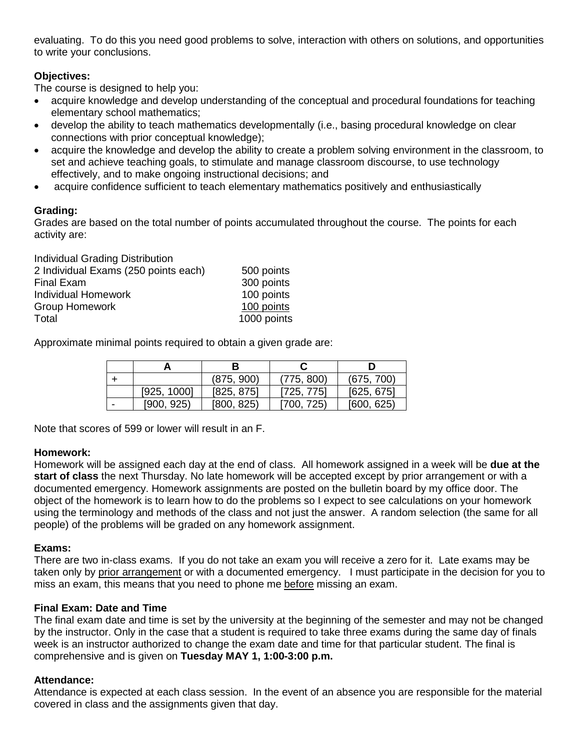evaluating. To do this you need good problems to solve, interaction with others on solutions, and opportunities to write your conclusions.

### **Objectives:**

The course is designed to help you:

- acquire knowledge and develop understanding of the conceptual and procedural foundations for teaching elementary school mathematics;
- develop the ability to teach mathematics developmentally (i.e., basing procedural knowledge on clear connections with prior conceptual knowledge);
- acquire the knowledge and develop the ability to create a problem solving environment in the classroom, to set and achieve teaching goals, to stimulate and manage classroom discourse, to use technology effectively, and to make ongoing instructional decisions; and
- acquire confidence sufficient to teach elementary mathematics positively and enthusiastically

#### **Grading:**

Grades are based on the total number of points accumulated throughout the course. The points for each activity are:

| Individual Grading Distribution      |             |
|--------------------------------------|-------------|
| 2 Individual Exams (250 points each) | 500 points  |
| <b>Final Exam</b>                    | 300 points  |
| <b>Individual Homework</b>           | 100 points  |
| <b>Group Homework</b>                | 100 points  |
| Total                                | 1000 points |

Approximate minimal points required to obtain a given grade are:

|   |             | (875, 900) | (775, 800) | (675, 700) |  |
|---|-------------|------------|------------|------------|--|
|   | [925, 1000] | [825, 875] | [725, 775] | [625, 675] |  |
| - | [900, 925]  | [800, 825] | [700, 725] | [600, 625] |  |

Note that scores of 599 or lower will result in an F.

#### **Homework:**

Homework will be assigned each day at the end of class. All homework assigned in a week will be **due at the start of class** the next Thursday. No late homework will be accepted except by prior arrangement or with a documented emergency. Homework assignments are posted on the bulletin board by my office door. The object of the homework is to learn how to do the problems so I expect to see calculations on your homework using the terminology and methods of the class and not just the answer. A random selection (the same for all people) of the problems will be graded on any homework assignment.

#### **Exams:**

There are two in-class exams. If you do not take an exam you will receive a zero for it. Late exams may be taken only by prior arrangement or with a documented emergency. I must participate in the decision for you to miss an exam, this means that you need to phone me before missing an exam.

#### **Final Exam: Date and Time**

The final exam date and time is set by the university at the beginning of the semester and may not be changed by the instructor. Only in the case that a student is required to take three exams during the same day of finals week is an instructor authorized to change the exam date and time for that particular student. The final is comprehensive and is given on **Tuesday MAY 1, 1:00-3:00 p.m.**

#### **Attendance:**

Attendance is expected at each class session. In the event of an absence you are responsible for the material covered in class and the assignments given that day.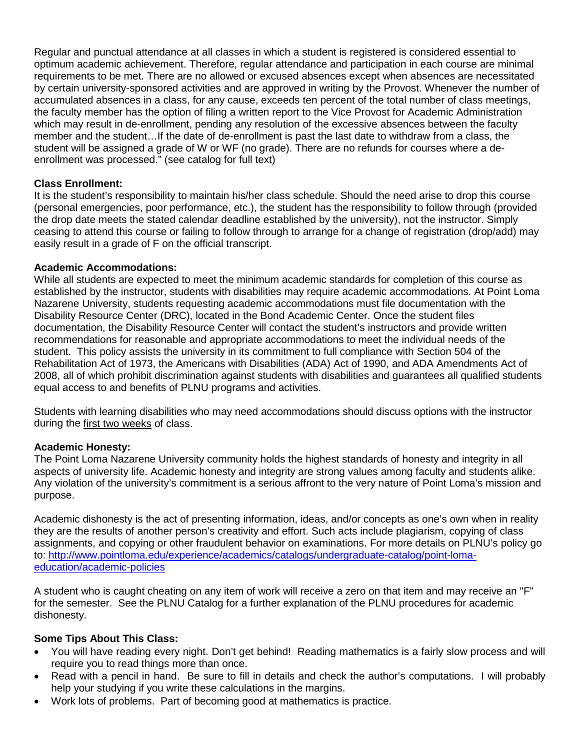Regular and punctual attendance at all classes in which a student is registered is considered essential to optimum academic achievement. Therefore, regular attendance and participation in each course are minimal requirements to be met. There are no allowed or excused absences except when absences are necessitated by certain university-sponsored activities and are approved in writing by the Provost. Whenever the number of accumulated absences in a class, for any cause, exceeds ten percent of the total number of class meetings, the faculty member has the option of filing a written report to the Vice Provost for Academic Administration which may result in de-enrollment, pending any resolution of the excessive absences between the faculty member and the student…If the date of de-enrollment is past the last date to withdraw from a class, the student will be assigned a grade of W or WF (no grade). There are no refunds for courses where a deenrollment was processed." (see catalog for full text)

#### **Class Enrollment:**

It is the student's responsibility to maintain his/her class schedule. Should the need arise to drop this course (personal emergencies, poor performance, etc.), the student has the responsibility to follow through (provided the drop date meets the stated calendar deadline established by the university), not the instructor. Simply ceasing to attend this course or failing to follow through to arrange for a change of registration (drop/add) may easily result in a grade of F on the official transcript.

#### **Academic Accommodations:**

While all students are expected to meet the minimum academic standards for completion of this course as established by the instructor, students with disabilities may require academic accommodations. At Point Loma Nazarene University, students requesting academic accommodations must file documentation with the Disability Resource Center (DRC), located in the Bond Academic Center. Once the student files documentation, the Disability Resource Center will contact the student's instructors and provide written recommendations for reasonable and appropriate accommodations to meet the individual needs of the student. This policy assists the university in its commitment to full compliance with Section 504 of the Rehabilitation Act of 1973, the Americans with Disabilities (ADA) Act of 1990, and ADA Amendments Act of 2008, all of which prohibit discrimination against students with disabilities and guarantees all qualified students equal access to and benefits of PLNU programs and activities.

Students with learning disabilities who may need accommodations should discuss options with the instructor during the first two weeks of class.

### **Academic Honesty:**

The Point Loma Nazarene University community holds the highest standards of honesty and integrity in all aspects of university life. Academic honesty and integrity are strong values among faculty and students alike. Any violation of the university's commitment is a serious affront to the very nature of Point Loma's mission and purpose.

Academic dishonesty is the act of presenting information, ideas, and/or concepts as one's own when in reality they are the results of another person's creativity and effort. Such acts include plagiarism, copying of class assignments, and copying or other fraudulent behavior on examinations. For more details on PLNU's policy go to: [http://www.pointloma.edu/experience/academics/catalogs/undergraduate-catalog/point-loma](http://www.pointloma.edu/experience/academics/catalogs/undergraduate-catalog/point-loma-education/academic-policies)[education/academic-policies](http://www.pointloma.edu/experience/academics/catalogs/undergraduate-catalog/point-loma-education/academic-policies)

A student who is caught cheating on any item of work will receive a zero on that item and may receive an "F" for the semester. See the PLNU Catalog for a further explanation of the PLNU procedures for academic dishonesty.

### **Some Tips About This Class:**

- You will have reading every night. Don't get behind! Reading mathematics is a fairly slow process and will require you to read things more than once.
- Read with a pencil in hand. Be sure to fill in details and check the author's computations. I will probably help your studying if you write these calculations in the margins.
- Work lots of problems. Part of becoming good at mathematics is practice.